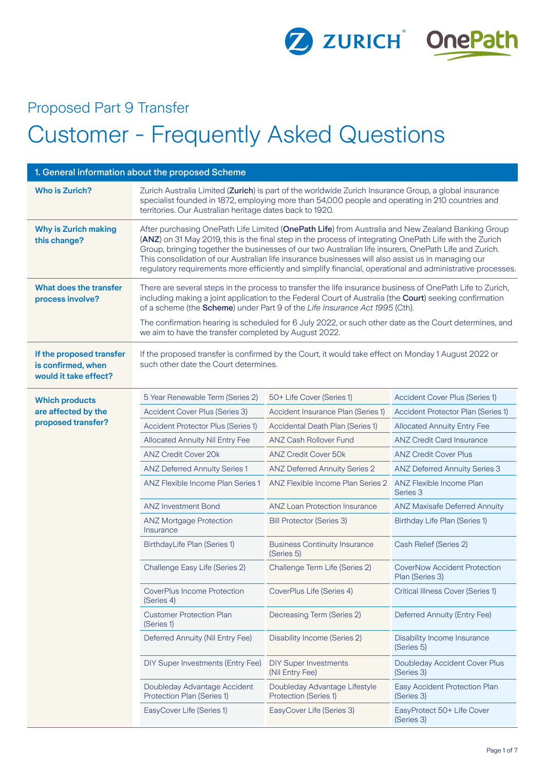

## Proposed Part 9 Transfer Customer - Frequently Asked Questions

| 1. General information about the proposed Scheme                        |                                                                                                                                                                                                                                                                                                                                                                                                                                                                                                                                           |                                                                                                     |                                                        |
|-------------------------------------------------------------------------|-------------------------------------------------------------------------------------------------------------------------------------------------------------------------------------------------------------------------------------------------------------------------------------------------------------------------------------------------------------------------------------------------------------------------------------------------------------------------------------------------------------------------------------------|-----------------------------------------------------------------------------------------------------|--------------------------------------------------------|
| <b>Who is Zurich?</b>                                                   | Zurich Australia Limited (Zurich) is part of the worldwide Zurich Insurance Group, a global insurance<br>specialist founded in 1872, employing more than 54,000 people and operating in 210 countries and<br>territories. Our Australian heritage dates back to 1920.                                                                                                                                                                                                                                                                     |                                                                                                     |                                                        |
| <b>Why is Zurich making</b><br>this change?                             | After purchasing OnePath Life Limited (OnePath Life) from Australia and New Zealand Banking Group<br>(ANZ) on 31 May 2019, this is the final step in the process of integrating OnePath Life with the Zurich<br>Group, bringing together the businesses of our two Australian life insurers, OnePath Life and Zurich.<br>This consolidation of our Australian life insurance businesses will also assist us in managing our<br>regulatory requirements more efficiently and simplify financial, operational and administrative processes. |                                                                                                     |                                                        |
| What does the transfer<br>process involve?                              | There are several steps in the process to transfer the life insurance business of OnePath Life to Zurich,<br>including making a joint application to the Federal Court of Australia (the Court) seeking confirmation<br>of a scheme (the Scheme) under Part 9 of the Life Insurance Act 1995 (Cth).                                                                                                                                                                                                                                       |                                                                                                     |                                                        |
|                                                                         | The confirmation hearing is scheduled for 6 July 2022, or such other date as the Court determines, and<br>we aim to have the transfer completed by August 2022.                                                                                                                                                                                                                                                                                                                                                                           |                                                                                                     |                                                        |
| If the proposed transfer<br>is confirmed, when<br>would it take effect? | such other date the Court determines.                                                                                                                                                                                                                                                                                                                                                                                                                                                                                                     | If the proposed transfer is confirmed by the Court, it would take effect on Monday 1 August 2022 or |                                                        |
| <b>Which products</b>                                                   | 5 Year Renewable Term (Series 2)                                                                                                                                                                                                                                                                                                                                                                                                                                                                                                          | 50+ Life Cover (Series 1)                                                                           | Accident Cover Plus (Series 1)                         |
| are affected by the                                                     | Accident Cover Plus (Series 3)                                                                                                                                                                                                                                                                                                                                                                                                                                                                                                            | Accident Insurance Plan (Series 1)                                                                  | Accident Protector Plan (Series 1)                     |
| proposed transfer?                                                      | <b>Accident Protector Plus (Series 1)</b>                                                                                                                                                                                                                                                                                                                                                                                                                                                                                                 | Accidental Death Plan (Series 1)                                                                    | <b>Allocated Annuity Entry Fee</b>                     |
|                                                                         | <b>Allocated Annuity Nil Entry Fee</b>                                                                                                                                                                                                                                                                                                                                                                                                                                                                                                    | <b>ANZ Cash Rollover Fund</b>                                                                       | <b>ANZ Credit Card Insurance</b>                       |
|                                                                         | <b>ANZ Credit Cover 20k</b>                                                                                                                                                                                                                                                                                                                                                                                                                                                                                                               | <b>ANZ Credit Cover 50k</b>                                                                         | <b>ANZ Credit Cover Plus</b>                           |
|                                                                         | <b>ANZ Deferred Annuity Series 1</b>                                                                                                                                                                                                                                                                                                                                                                                                                                                                                                      | <b>ANZ Deferred Annuity Series 2</b>                                                                | <b>ANZ Deferred Annuity Series 3</b>                   |
|                                                                         | <b>ANZ Flexible Income Plan Series 1</b>                                                                                                                                                                                                                                                                                                                                                                                                                                                                                                  | ANZ Flexible Income Plan Series 2                                                                   | ANZ Flexible Income Plan<br>Series 3                   |
|                                                                         | <b>ANZ Investment Bond</b>                                                                                                                                                                                                                                                                                                                                                                                                                                                                                                                | <b>ANZ Loan Protection Insurance</b>                                                                | <b>ANZ Maxisafe Deferred Annuity</b>                   |
|                                                                         | <b>ANZ Mortgage Protection</b><br>Insurance                                                                                                                                                                                                                                                                                                                                                                                                                                                                                               | <b>Bill Protector (Series 3)</b>                                                                    | Birthday Life Plan (Series 1)                          |
|                                                                         | BirthdayLife Plan (Series 1)                                                                                                                                                                                                                                                                                                                                                                                                                                                                                                              | <b>Business Continuity Insurance</b><br>(Series 5)                                                  | Cash Relief (Series 2)                                 |
|                                                                         | Challenge Easy Life (Series 2)                                                                                                                                                                                                                                                                                                                                                                                                                                                                                                            | Challenge Term Life (Series 2)                                                                      | <b>CoverNow Accident Protection</b><br>Plan (Series 3) |
|                                                                         | CoverPlus Income Protection<br>(Series 4)                                                                                                                                                                                                                                                                                                                                                                                                                                                                                                 | CoverPlus Life (Series 4)                                                                           | Critical Illness Cover (Series 1)                      |
|                                                                         | <b>Customer Protection Plan</b><br>(Series 1)                                                                                                                                                                                                                                                                                                                                                                                                                                                                                             | Decreasing Term (Series 2)                                                                          | Deferred Annuity (Entry Fee)                           |
|                                                                         | Deferred Annuity (Nil Entry Fee)                                                                                                                                                                                                                                                                                                                                                                                                                                                                                                          | Disability Income (Series 2)                                                                        | Disability Income Insurance<br>(Series 5)              |
|                                                                         | DIY Super Investments (Entry Fee)                                                                                                                                                                                                                                                                                                                                                                                                                                                                                                         | <b>DIY Super Investments</b><br>(Nil Entry Fee)                                                     | Doubleday Accident Cover Plus<br>(Series 3)            |
|                                                                         | Doubleday Advantage Accident<br>Protection Plan (Series 1)                                                                                                                                                                                                                                                                                                                                                                                                                                                                                | Doubleday Advantage Lifestyle<br><b>Protection (Series 1)</b>                                       | Easy Accident Protection Plan<br>(Series 3)            |
|                                                                         | EasyCover Life (Series 1)                                                                                                                                                                                                                                                                                                                                                                                                                                                                                                                 | EasyCover Life (Series 3)                                                                           | EasyProtect 50+ Life Cover<br>(Series 3)               |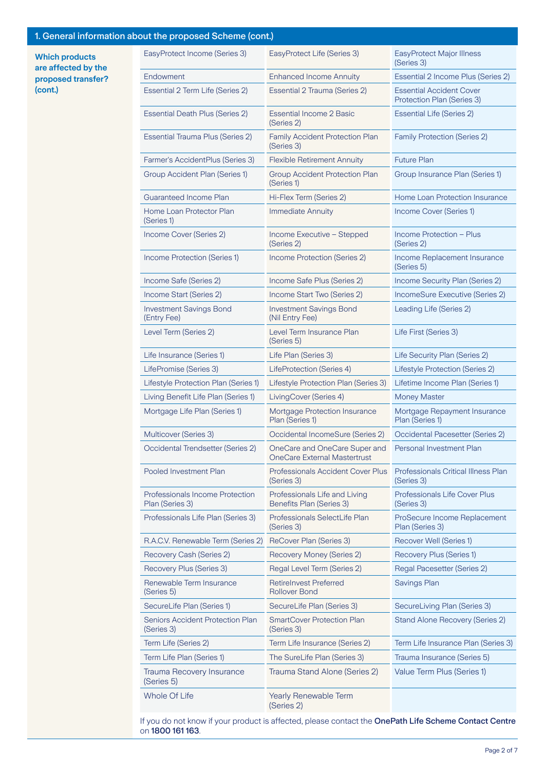## 1. General information about the proposed Scheme (cont.)

**Which products are affected by the proposed transfer? (cont.)**

| at the proposed conome (com,                              |                                                                      |                                                               |
|-----------------------------------------------------------|----------------------------------------------------------------------|---------------------------------------------------------------|
| EasyProtect Income (Series 3)                             | EasyProtect Life (Series 3)                                          | <b>EasyProtect Major Illness</b><br>(Series 3)                |
| Endowment                                                 | <b>Enhanced Income Annuity</b>                                       | Essential 2 Income Plus (Series 2)                            |
| Essential 2 Term Life (Series 2)                          | Essential 2 Trauma (Series 2)                                        | <b>Essential Accident Cover</b><br>Protection Plan (Series 3) |
| <b>Essential Death Plus (Series 2)</b>                    | <b>Essential Income 2 Basic</b><br>(Series 2)                        | <b>Essential Life (Series 2)</b>                              |
| Essential Trauma Plus (Series 2)                          | <b>Family Accident Protection Plan</b><br>(Series 3)                 | <b>Family Protection (Series 2)</b>                           |
| Farmer's AccidentPlus (Series 3)                          | <b>Flexible Retirement Annuity</b>                                   | <b>Future Plan</b>                                            |
| Group Accident Plan (Series 1)                            | Group Accident Protection Plan<br>(Series 1)                         | Group Insurance Plan (Series 1)                               |
| <b>Guaranteed Income Plan</b>                             | Hi-Flex Term (Series 2)                                              | Home Loan Protection Insurance                                |
| Home Loan Protector Plan<br>(Series 1)                    | <b>Immediate Annuity</b>                                             | Income Cover (Series 1)                                       |
| Income Cover (Series 2)                                   | Income Executive - Stepped<br>(Series 2)                             | Income Protection - Plus<br>(Series 2)                        |
| Income Protection (Series 1)                              | Income Protection (Series 2)                                         | Income Replacement Insurance<br>(Series 5)                    |
| Income Safe (Series 2)                                    | Income Safe Plus (Series 2)                                          | Income Security Plan (Series 2)                               |
| Income Start (Series 2)                                   | Income Start Two (Series 2)                                          | IncomeSure Executive (Series 2)                               |
| <b>Investment Savings Bond</b><br>(Entry Fee)             | <b>Investment Savings Bond</b><br>(Nil Entry Fee)                    | Leading Life (Series 2)                                       |
| Level Term (Series 2)                                     | Level Term Insurance Plan<br>(Series 5)                              | Life First (Series 3)                                         |
| Life Insurance (Series 1)                                 | Life Plan (Series 3)                                                 | Life Security Plan (Series 2)                                 |
| LifePromise (Series 3)                                    | LifeProtection (Series 4)                                            | Lifestyle Protection (Series 2)                               |
| Lifestyle Protection Plan (Series 1)                      | Lifestyle Protection Plan (Series 3)                                 | Lifetime Income Plan (Series 1)                               |
| Living Benefit Life Plan (Series 1)                       | LivingCover (Series 4)                                               | <b>Money Master</b>                                           |
| Mortgage Life Plan (Series 1)                             | Mortgage Protection Insurance<br>Plan (Series 1)                     | Mortgage Repayment Insurance<br>Plan (Series 1)               |
| Multicover (Series 3)                                     | Occidental IncomeSure (Series 2)                                     | Occidental Pacesetter (Series 2)                              |
| Occidental Trendsetter (Series 2)                         | OneCare and OneCare Super and<br><b>OneCare External Mastertrust</b> | Personal Investment Plan                                      |
| <b>Pooled Investment Plan</b>                             | Professionals Accident Cover Plus<br>(Series 3)                      | Professionals Critical Illness Plan<br>(Series 3)             |
| <b>Professionals Income Protection</b><br>Plan (Series 3) | Professionals Life and Living<br>Benefits Plan (Series 3)            | Professionals Life Cover Plus<br>(Series 3)                   |
| Professionals Life Plan (Series 3)                        | Professionals SelectLife Plan<br>(Series 3)                          | ProSecure Income Replacement<br>Plan (Series 3)               |
| R.A.C.V. Renewable Term (Series 2)                        | ReCover Plan (Series 3)                                              | Recover Well (Series 1)                                       |
| Recovery Cash (Series 2)                                  | Recovery Money (Series 2)                                            | Recovery Plus (Series 1)                                      |
| Recovery Plus (Series 3)                                  | Regal Level Term (Series 2)                                          | Regal Pacesetter (Series 2)                                   |
| Renewable Term Insurance<br>(Series 5)                    | <b>Retirelnvest Preferred</b><br><b>Rollover Bond</b>                | Savings Plan                                                  |
| SecureLife Plan (Series 1)                                | SecureLife Plan (Series 3)                                           | SecureLiving Plan (Series 3)                                  |
| Seniors Accident Protection Plan<br>(Series 3)            | <b>SmartCover Protection Plan</b><br>(Series 3)                      | Stand Alone Recovery (Series 2)                               |
| Term Life (Series 2)                                      | Term Life Insurance (Series 2)                                       | Term Life Insurance Plan (Series 3)                           |
| Term Life Plan (Series 1)                                 | The SureLife Plan (Series 3)                                         | Trauma Insurance (Series 5)                                   |
| Trauma Recovery Insurance<br>(Series 5)                   | Trauma Stand Alone (Series 2)                                        | Value Term Plus (Series 1)                                    |
| Whole Of Life                                             | Yearly Renewable Term<br>(Series 2)                                  |                                                               |

If you do not know if your product is affected, please contact the OnePath Life Scheme Contact Centre on 1800 161 163.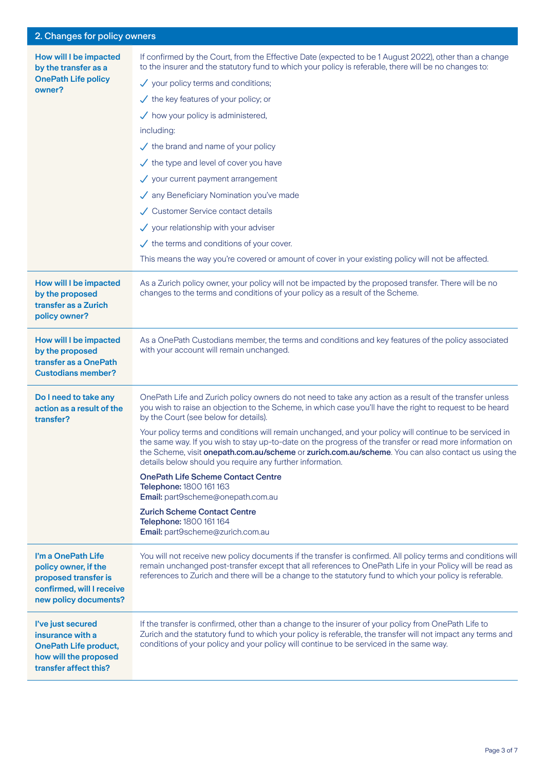## 2. Changes for policy owners

| How will I be impacted<br>by the transfer as a<br><b>OnePath Life policy</b><br>owner?                                   | If confirmed by the Court, from the Effective Date (expected to be 1 August 2022), other than a change<br>to the insurer and the statutory fund to which your policy is referable, there will be no changes to:<br>$\checkmark$ your policy terms and conditions;<br>$\checkmark$ the key features of your policy; or<br>$\checkmark$ how your policy is administered,<br>including:<br>$\checkmark$ the brand and name of your policy<br>$\checkmark$ the type and level of cover you have<br>$\checkmark$ your current payment arrangement<br>√ any Beneficiary Nomination you've made<br>✓ Customer Service contact details<br>$\checkmark$ your relationship with your adviser<br>$\checkmark$ the terms and conditions of your cover. |
|--------------------------------------------------------------------------------------------------------------------------|--------------------------------------------------------------------------------------------------------------------------------------------------------------------------------------------------------------------------------------------------------------------------------------------------------------------------------------------------------------------------------------------------------------------------------------------------------------------------------------------------------------------------------------------------------------------------------------------------------------------------------------------------------------------------------------------------------------------------------------------|
|                                                                                                                          | This means the way you're covered or amount of cover in your existing policy will not be affected.                                                                                                                                                                                                                                                                                                                                                                                                                                                                                                                                                                                                                                         |
| How will I be impacted<br>by the proposed<br>transfer as a Zurich<br>policy owner?                                       | As a Zurich policy owner, your policy will not be impacted by the proposed transfer. There will be no<br>changes to the terms and conditions of your policy as a result of the Scheme.                                                                                                                                                                                                                                                                                                                                                                                                                                                                                                                                                     |
| How will I be impacted<br>by the proposed<br>transfer as a OnePath<br><b>Custodians member?</b>                          | As a OnePath Custodians member, the terms and conditions and key features of the policy associated<br>with your account will remain unchanged.                                                                                                                                                                                                                                                                                                                                                                                                                                                                                                                                                                                             |
| Do I need to take any<br>action as a result of the<br>transfer?                                                          | OnePath Life and Zurich policy owners do not need to take any action as a result of the transfer unless<br>you wish to raise an objection to the Scheme, in which case you'll have the right to request to be heard<br>by the Court (see below for details).                                                                                                                                                                                                                                                                                                                                                                                                                                                                               |
|                                                                                                                          | Your policy terms and conditions will remain unchanged, and your policy will continue to be serviced in<br>the same way. If you wish to stay up-to-date on the progress of the transfer or read more information on<br>the Scheme, visit onepath.com.au/scheme or zurich.com.au/scheme. You can also contact us using the<br>details below should you require any further information.                                                                                                                                                                                                                                                                                                                                                     |
|                                                                                                                          | <b>OnePath Life Scheme Contact Centre</b><br>Telephone: 1800 161 163<br>Email: part9scheme@onepath.com.au                                                                                                                                                                                                                                                                                                                                                                                                                                                                                                                                                                                                                                  |
|                                                                                                                          | <b>Zurich Scheme Contact Centre</b><br>Telephone: 1800 161 164<br>Email: part9scheme@zurich.com.au                                                                                                                                                                                                                                                                                                                                                                                                                                                                                                                                                                                                                                         |
| I'm a OnePath Life<br>policy owner, if the<br>proposed transfer is<br>confirmed, will I receive<br>new policy documents? | You will not receive new policy documents if the transfer is confirmed. All policy terms and conditions will<br>remain unchanged post-transfer except that all references to OnePath Life in your Policy will be read as<br>references to Zurich and there will be a change to the statutory fund to which your policy is referable.                                                                                                                                                                                                                                                                                                                                                                                                       |
| I've just secured<br>insurance with a<br><b>OnePath Life product,</b><br>how will the proposed<br>transfer affect this?  | If the transfer is confirmed, other than a change to the insurer of your policy from OnePath Life to<br>Zurich and the statutory fund to which your policy is referable, the transfer will not impact any terms and<br>conditions of your policy and your policy will continue to be serviced in the same way.                                                                                                                                                                                                                                                                                                                                                                                                                             |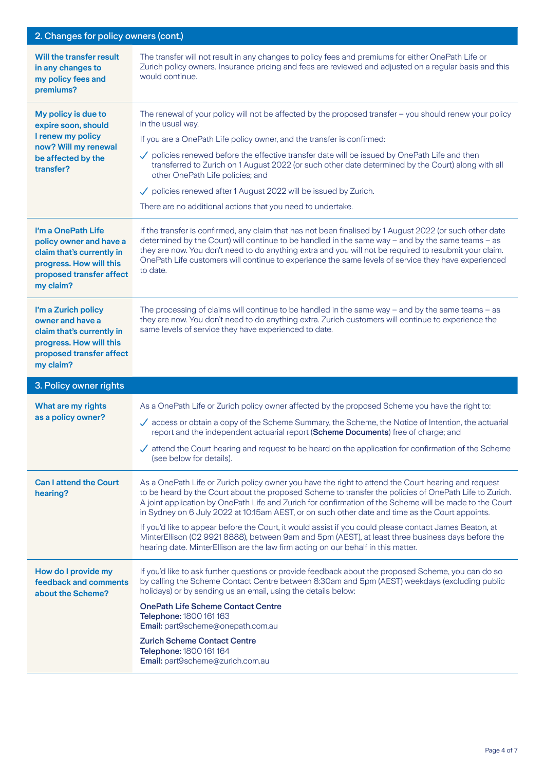| 2. Changes for policy owners (cont.)                                                                                                           |                                                                                                                                                                                                                                                                                                                                                                                                                                                                                                                                                                                                                                                                                                                                 |
|------------------------------------------------------------------------------------------------------------------------------------------------|---------------------------------------------------------------------------------------------------------------------------------------------------------------------------------------------------------------------------------------------------------------------------------------------------------------------------------------------------------------------------------------------------------------------------------------------------------------------------------------------------------------------------------------------------------------------------------------------------------------------------------------------------------------------------------------------------------------------------------|
| Will the transfer result<br>in any changes to<br>my policy fees and<br>premiums?                                                               | The transfer will not result in any changes to policy fees and premiums for either OnePath Life or<br>Zurich policy owners. Insurance pricing and fees are reviewed and adjusted on a regular basis and this<br>would continue.                                                                                                                                                                                                                                                                                                                                                                                                                                                                                                 |
| My policy is due to<br>expire soon, should<br>I renew my policy<br>now? Will my renewal<br>be affected by the<br>transfer?                     | The renewal of your policy will not be affected by the proposed transfer - you should renew your policy<br>in the usual way.<br>If you are a OnePath Life policy owner, and the transfer is confirmed:<br>$\checkmark$ policies renewed before the effective transfer date will be issued by OnePath Life and then<br>transferred to Zurich on 1 August 2022 (or such other date determined by the Court) along with all<br>other OnePath Life policies; and<br>$\checkmark$ policies renewed after 1 August 2022 will be issued by Zurich.<br>There are no additional actions that you need to undertake.                                                                                                                      |
| I'm a OnePath Life<br>policy owner and have a<br>claim that's currently in<br>progress. How will this<br>proposed transfer affect<br>my claim? | If the transfer is confirmed, any claim that has not been finalised by 1 August 2022 (or such other date<br>determined by the Court) will continue to be handled in the same way - and by the same teams - as<br>they are now. You don't need to do anything extra and you will not be required to resubmit your claim.<br>OnePath Life customers will continue to experience the same levels of service they have experienced<br>to date.                                                                                                                                                                                                                                                                                      |
| I'm a Zurich policy<br>owner and have a<br>claim that's currently in<br>progress. How will this<br>proposed transfer affect<br>my claim?       | The processing of claims will continue to be handled in the same way $-$ and by the same teams $-$ as<br>they are now. You don't need to do anything extra. Zurich customers will continue to experience the<br>same levels of service they have experienced to date.                                                                                                                                                                                                                                                                                                                                                                                                                                                           |
| 3. Policy owner rights                                                                                                                         |                                                                                                                                                                                                                                                                                                                                                                                                                                                                                                                                                                                                                                                                                                                                 |
| What are my rights<br>as a policy owner?                                                                                                       | As a OnePath Life or Zurich policy owner affected by the proposed Scheme you have the right to:<br>$\checkmark$ access or obtain a copy of the Scheme Summary, the Scheme, the Notice of Intention, the actuarial<br>report and the independent actuarial report (Scheme Documents) free of charge; and<br>$\checkmark$ attend the Court hearing and request to be heard on the application for confirmation of the Scheme<br>(see below for details).                                                                                                                                                                                                                                                                          |
| <b>Can I attend the Court</b><br>hearing?                                                                                                      | As a OnePath Life or Zurich policy owner you have the right to attend the Court hearing and request<br>to be heard by the Court about the proposed Scheme to transfer the policies of OnePath Life to Zurich.<br>A joint application by OnePath Life and Zurich for confirmation of the Scheme will be made to the Court<br>in Sydney on 6 July 2022 at 10:15am AEST, or on such other date and time as the Court appoints.<br>If you'd like to appear before the Court, it would assist if you could please contact James Beaton, at<br>MinterEllison (02 9921 8888), between 9am and 5pm (AEST), at least three business days before the<br>hearing date. MinterEllison are the law firm acting on our behalf in this matter. |
| How do I provide my<br>feedback and comments<br>about the Scheme?                                                                              | If you'd like to ask further questions or provide feedback about the proposed Scheme, you can do so<br>by calling the Scheme Contact Centre between 8:30am and 5pm (AEST) weekdays (excluding public<br>holidays) or by sending us an email, using the details below:<br><b>OnePath Life Scheme Contact Centre</b><br>Telephone: 1800 161 163<br>Email: part9scheme@onepath.com.au<br><b>Zurich Scheme Contact Centre</b><br>Telephone: 1800 161 164<br>Email: part9scheme@zurich.com.au                                                                                                                                                                                                                                        |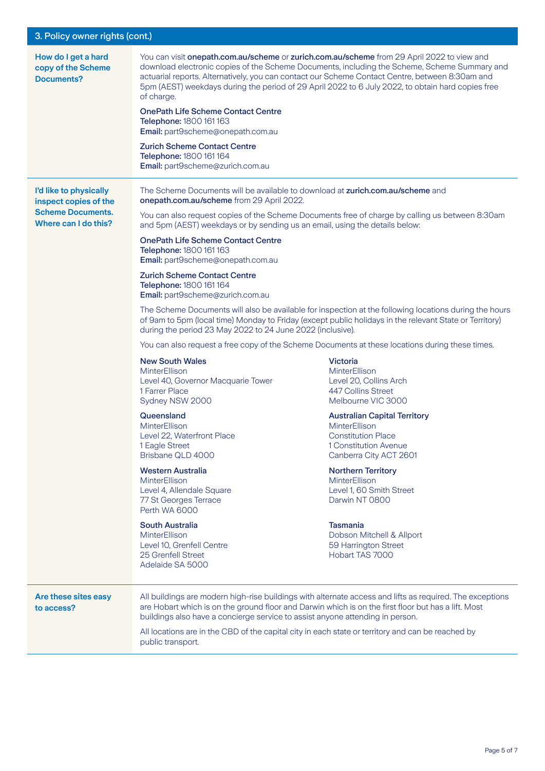| 3. Policy owner rights (cont.)                                                                      |                                                                                                                                                                                                                                                                                                                                                                                                                                                                                                                                                                                                                                                                                                                                                                                                                                                                                                                                                                           |                                                                                                                                                                                                                                                                                                                                                                                                                                                                                                                                                                                                                                                                                                                                                                                                                                                                                |
|-----------------------------------------------------------------------------------------------------|---------------------------------------------------------------------------------------------------------------------------------------------------------------------------------------------------------------------------------------------------------------------------------------------------------------------------------------------------------------------------------------------------------------------------------------------------------------------------------------------------------------------------------------------------------------------------------------------------------------------------------------------------------------------------------------------------------------------------------------------------------------------------------------------------------------------------------------------------------------------------------------------------------------------------------------------------------------------------|--------------------------------------------------------------------------------------------------------------------------------------------------------------------------------------------------------------------------------------------------------------------------------------------------------------------------------------------------------------------------------------------------------------------------------------------------------------------------------------------------------------------------------------------------------------------------------------------------------------------------------------------------------------------------------------------------------------------------------------------------------------------------------------------------------------------------------------------------------------------------------|
| How do I get a hard<br>copy of the Scheme<br><b>Documents?</b>                                      | of charge.<br><b>OnePath Life Scheme Contact Centre</b><br>Telephone: 1800 161 163<br>Email: part9scheme@onepath.com.au<br><b>Zurich Scheme Contact Centre</b><br>Telephone: 1800 161 164<br>Email: part9scheme@zurich.com.au                                                                                                                                                                                                                                                                                                                                                                                                                                                                                                                                                                                                                                                                                                                                             | You can visit onepath.com.au/scheme or zurich.com.au/scheme from 29 April 2022 to view and<br>download electronic copies of the Scheme Documents, including the Scheme, Scheme Summary and<br>actuarial reports. Alternatively, you can contact our Scheme Contact Centre, between 8:30am and<br>5pm (AEST) weekdays during the period of 29 April 2022 to 6 July 2022, to obtain hard copies free                                                                                                                                                                                                                                                                                                                                                                                                                                                                             |
| I'd like to physically<br>inspect copies of the<br><b>Scheme Documents.</b><br>Where can I do this? | The Scheme Documents will be available to download at zurich.com.au/scheme and<br>onepath.com.au/scheme from 29 April 2022.<br>and 5pm (AEST) weekdays or by sending us an email, using the details below:<br><b>OnePath Life Scheme Contact Centre</b><br>Telephone: 1800 161 163<br>Email: part9scheme@onepath.com.au<br><b>Zurich Scheme Contact Centre</b><br>Telephone: 1800 161 164<br>Email: part9scheme@zurich.com.au<br>during the period 23 May 2022 to 24 June 2022 (inclusive).<br><b>New South Wales</b><br><b>MinterEllison</b><br>Level 40, Governor Macquarie Tower<br>1 Farrer Place<br>Sydney NSW 2000<br>Queensland<br><b>MinterEllison</b><br>Level 22, Waterfront Place<br>1 Eagle Street<br>Brisbane QLD 4000<br>Western Australia<br><b>MinterEllison</b><br>Level 4, Allendale Square<br>77 St Georges Terrace<br>Perth WA 6000<br>South Australia<br><b>MinterEllison</b><br>Level 10, Grenfell Centre<br>25 Grenfell Street<br>Adelaide SA 5000 | You can also request copies of the Scheme Documents free of charge by calling us between 8:30am<br>The Scheme Documents will also be available for inspection at the following locations during the hours<br>of 9am to 5pm (local time) Monday to Friday (except public holidays in the relevant State or Territory)<br>You can also request a free copy of the Scheme Documents at these locations during these times.<br><b>Victoria</b><br><b>MinterEllison</b><br>Level 20, Collins Arch<br>447 Collins Street<br>Melbourne VIC 3000<br><b>Australian Capital Territory</b><br><b>MinterEllison</b><br><b>Constitution Place</b><br>1 Constitution Avenue<br>Canberra City ACT 2601<br><b>Northern Territory</b><br>MinterEllison<br>Level 1, 60 Smith Street<br>Darwin NT 0800<br><b>Tasmania</b><br>Dobson Mitchell & Allport<br>59 Harrington Street<br>Hobart TAS 7000 |
| Are these sites easy<br>to access?                                                                  | buildings also have a concierge service to assist anyone attending in person.<br>All locations are in the CBD of the capital city in each state or territory and can be reached by<br>public transport.                                                                                                                                                                                                                                                                                                                                                                                                                                                                                                                                                                                                                                                                                                                                                                   | All buildings are modern high-rise buildings with alternate access and lifts as required. The exceptions<br>are Hobart which is on the ground floor and Darwin which is on the first floor but has a lift. Most                                                                                                                                                                                                                                                                                                                                                                                                                                                                                                                                                                                                                                                                |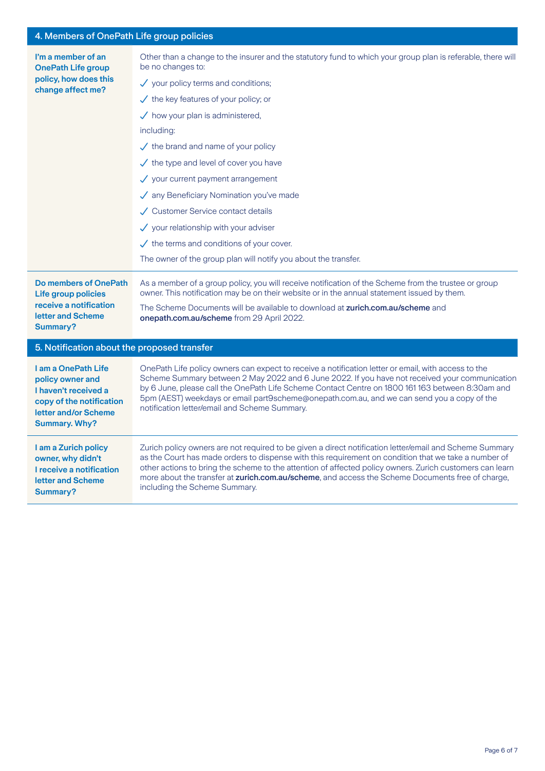## 4. Members of OnePath Life group policies

| I'm a member of an<br><b>OnePath Life group</b><br>policy, how does this<br>change affect me?                                               | Other than a change to the insurer and the statutory fund to which your group plan is referable, there will<br>be no changes to:                                                                                                                                                                                                                                                                                                                                 |
|---------------------------------------------------------------------------------------------------------------------------------------------|------------------------------------------------------------------------------------------------------------------------------------------------------------------------------------------------------------------------------------------------------------------------------------------------------------------------------------------------------------------------------------------------------------------------------------------------------------------|
|                                                                                                                                             | $\checkmark$ your policy terms and conditions;                                                                                                                                                                                                                                                                                                                                                                                                                   |
|                                                                                                                                             | $\checkmark$ the key features of your policy; or                                                                                                                                                                                                                                                                                                                                                                                                                 |
|                                                                                                                                             | $\checkmark$ how your plan is administered,                                                                                                                                                                                                                                                                                                                                                                                                                      |
|                                                                                                                                             | including:                                                                                                                                                                                                                                                                                                                                                                                                                                                       |
|                                                                                                                                             | $\checkmark$ the brand and name of your policy                                                                                                                                                                                                                                                                                                                                                                                                                   |
|                                                                                                                                             | $\checkmark$ the type and level of cover you have                                                                                                                                                                                                                                                                                                                                                                                                                |
|                                                                                                                                             | $\checkmark$ your current payment arrangement                                                                                                                                                                                                                                                                                                                                                                                                                    |
|                                                                                                                                             | √ any Beneficiary Nomination you've made                                                                                                                                                                                                                                                                                                                                                                                                                         |
|                                                                                                                                             | ✓ Customer Service contact details                                                                                                                                                                                                                                                                                                                                                                                                                               |
|                                                                                                                                             | $\checkmark$ your relationship with your adviser                                                                                                                                                                                                                                                                                                                                                                                                                 |
|                                                                                                                                             | $\checkmark$ the terms and conditions of your cover.                                                                                                                                                                                                                                                                                                                                                                                                             |
|                                                                                                                                             | The owner of the group plan will notify you about the transfer.                                                                                                                                                                                                                                                                                                                                                                                                  |
| <b>Do members of OnePath</b><br><b>Life group policies</b><br>receive a notification<br>letter and Scheme<br><b>Summary?</b>                | As a member of a group policy, you will receive notification of the Scheme from the trustee or group<br>owner. This notification may be on their website or in the annual statement issued by them.                                                                                                                                                                                                                                                              |
|                                                                                                                                             | The Scheme Documents will be available to download at zurich.com.au/scheme and<br>onepath.com.au/scheme from 29 April 2022.                                                                                                                                                                                                                                                                                                                                      |
| 5. Notification about the proposed transfer                                                                                                 |                                                                                                                                                                                                                                                                                                                                                                                                                                                                  |
| I am a OnePath Life<br>policy owner and<br>I haven't received a<br>copy of the notification<br>letter and/or Scheme<br><b>Summary. Why?</b> | OnePath Life policy owners can expect to receive a notification letter or email, with access to the<br>Scheme Summary between 2 May 2022 and 6 June 2022. If you have not received your communication<br>by 6 June, please call the OnePath Life Scheme Contact Centre on 1800 161 163 between 8:30am and<br>5pm (AEST) weekdays or email part9scheme@onepath.com.au, and we can send you a copy of the<br>notification letter/email and Scheme Summary.         |
| I am a Zurich policy<br>owner, why didn't<br>I receive a notification<br>letter and Scheme<br>Summary?                                      | Zurich policy owners are not required to be given a direct notification letter/email and Scheme Summary<br>as the Court has made orders to dispense with this requirement on condition that we take a number of<br>other actions to bring the scheme to the attention of affected policy owners. Zurich customers can learn<br>more about the transfer at zurich.com.au/scheme, and access the Scheme Documents free of charge,<br>including the Scheme Summary. |